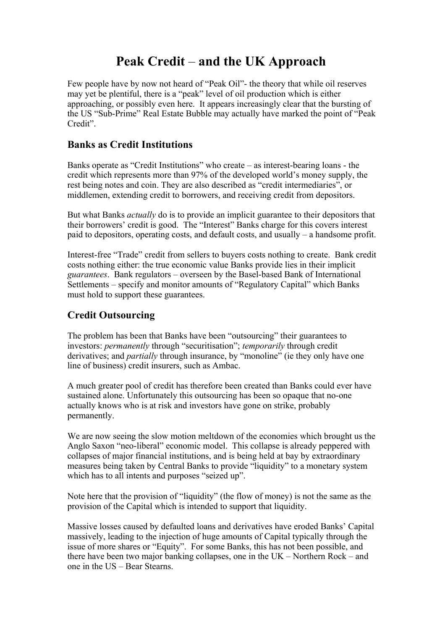# **Peak Credit** – **and the UK Approach**

Few people have by now not heard of "Peak Oil"- the theory that while oil reserves may yet be plentiful, there is a "peak" level of oil production which is either approaching, or possibly even here. It appears increasingly clear that the bursting of the US "Sub-Prime" Real Estate Bubble may actually have marked the point of "Peak Credit".

### **Banks as Credit Institutions**

Banks operate as "Credit Institutions" who create – as interest-bearing loans - the credit which represents more than 97% of the developed world's money supply, the rest being notes and coin. They are also described as "credit intermediaries", or middlemen, extending credit to borrowers, and receiving credit from depositors.

But what Banks *actually* do is to provide an implicit guarantee to their depositors that their borrowers' credit is good. The "Interest" Banks charge for this covers interest paid to depositors, operating costs, and default costs, and usually – a handsome profit.

Interest-free "Trade" credit from sellers to buyers costs nothing to create. Bank credit costs nothing either: the true economic value Banks provide lies in their implicit *guarantees*. Bank regulators – overseen by the Basel-based Bank of International Settlements – specify and monitor amounts of "Regulatory Capital" which Banks must hold to support these guarantees.

## **Credit Outsourcing**

The problem has been that Banks have been "outsourcing" their guarantees to investors: *permanently* through "securitisation"; *temporarily* through credit derivatives; and *partially* through insurance, by "monoline" (ie they only have one line of business) credit insurers, such as Ambac.

A much greater pool of credit has therefore been created than Banks could ever have sustained alone. Unfortunately this outsourcing has been so opaque that no-one actually knows who is at risk and investors have gone on strike, probably permanently.

We are now seeing the slow motion meltdown of the economies which brought us the Anglo Saxon "neo-liberal" economic model. This collapse is already peppered with collapses of major financial institutions, and is being held at bay by extraordinary measures being taken by Central Banks to provide "liquidity" to a monetary system which has to all intents and purposes "seized up".

Note here that the provision of "liquidity" (the flow of money) is not the same as the provision of the Capital which is intended to support that liquidity.

Massive losses caused by defaulted loans and derivatives have eroded Banks' Capital massively, leading to the injection of huge amounts of Capital typically through the issue of more shares or "Equity". For some Banks, this has not been possible, and there have been two major banking collapses, one in the UK – Northern Rock – and one in the US – Bear Stearns.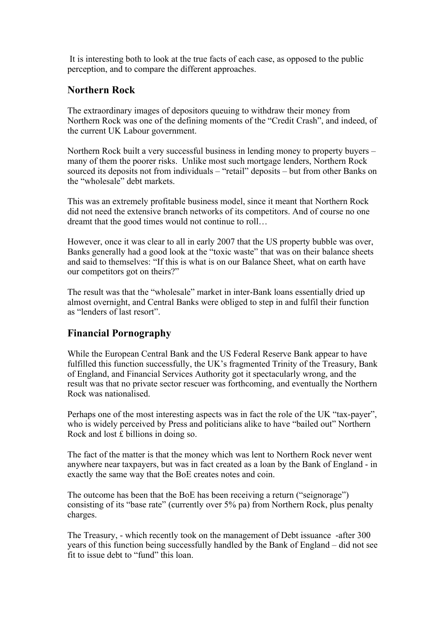It is interesting both to look at the true facts of each case, as opposed to the public perception, and to compare the different approaches.

#### **Northern Rock**

The extraordinary images of depositors queuing to withdraw their money from Northern Rock was one of the defining moments of the "Credit Crash", and indeed, of the current UK Labour government.

Northern Rock built a very successful business in lending money to property buyers – many of them the poorer risks. Unlike most such mortgage lenders, Northern Rock sourced its deposits not from individuals – "retail" deposits – but from other Banks on the "wholesale" debt markets.

This was an extremely profitable business model, since it meant that Northern Rock did not need the extensive branch networks of its competitors. And of course no one dreamt that the good times would not continue to roll…

However, once it was clear to all in early 2007 that the US property bubble was over, Banks generally had a good look at the "toxic waste" that was on their balance sheets and said to themselves: "If this is what is on our Balance Sheet, what on earth have our competitors got on theirs?"

The result was that the "wholesale" market in inter-Bank loans essentially dried up almost overnight, and Central Banks were obliged to step in and fulfil their function as "lenders of last resort".

#### **Financial Pornography**

While the European Central Bank and the US Federal Reserve Bank appear to have fulfilled this function successfully, the UK's fragmented Trinity of the Treasury, Bank of England, and Financial Services Authority got it spectacularly wrong, and the result was that no private sector rescuer was forthcoming, and eventually the Northern Rock was nationalised.

Perhaps one of the most interesting aspects was in fact the role of the UK "tax-payer", who is widely perceived by Press and politicians alike to have "bailed out" Northern Rock and lost £ billions in doing so.

The fact of the matter is that the money which was lent to Northern Rock never went anywhere near taxpayers, but was in fact created as a loan by the Bank of England - in exactly the same way that the BoE creates notes and coin.

The outcome has been that the BoE has been receiving a return ("seignorage") consisting of its "base rate" (currently over 5% pa) from Northern Rock, plus penalty charges.

The Treasury, - which recently took on the management of Debt issuance -after 300 years of this function being successfully handled by the Bank of England – did not see fit to issue debt to "fund" this loan.